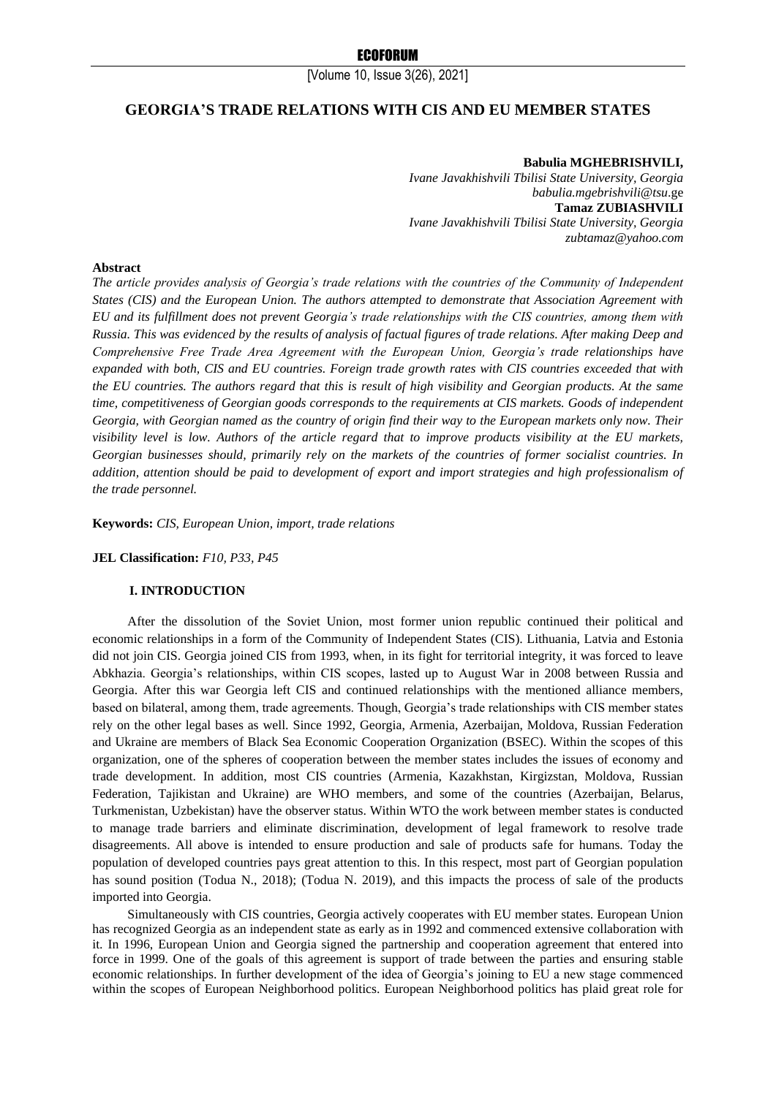[Volume 10, Issue 3(26), 2021]

# **GEORGIA'S TRADE RELATIONS WITH CIS AND EU MEMBER STATES**

#### **Babulia MGHEBRISHVILI,**

*Ivane Javakhishvili Tbilisi State University, Georgia [babulia.mgebrishvili@tsu](mailto:babulia.mgebrishvili@tsu)*.ge **Tamaz ZUBIASHVILI**  *Ivane Javakhishvili Tbilisi State University, Georgia [zubtamaz@yahoo.com](mailto:zubtamaz@yahoo.com)*

### **Abstract**

*The article provides analysis of Georgia's trade relations with the countries of the Community of Independent States (CIS) and the European Union. The authors attempted to demonstrate that Association Agreement with EU and its fulfillment does not prevent Georgia's trade relationships with the CIS countries, among them with Russia. This was evidenced by the results of analysis of factual figures of trade relations. After making Deep and Comprehensive Free Trade Area Agreement with the European Union, Georgia's trade relationships have expanded with both, CIS and EU countries. Foreign trade growth rates with CIS countries exceeded that with the EU countries. The authors regard that this is result of high visibility and Georgian products. At the same time, competitiveness of Georgian goods corresponds to the requirements at CIS markets. Goods of independent Georgia, with Georgian named as the country of origin find their way to the European markets only now. Their visibility level is low. Authors of the article regard that to improve products visibility at the EU markets, Georgian businesses should, primarily rely on the markets of the countries of former socialist countries. In addition, attention should be paid to development of export and import strategies and high professionalism of the trade personnel.*

**Keywords:** *CIS, European Union, import, trade relations*

#### **JEL Classification:** *F10, P33, P45*

#### **I. INTRODUCTION**

After the dissolution of the Soviet Union, most former union republic continued their political and economic relationships in a form of the Community of Independent States (CIS). Lithuania, Latvia and Estonia did not join CIS. Georgia joined CIS from 1993, when, in its fight for territorial integrity, it was forced to leave Abkhazia. Georgia's relationships, within CIS scopes, lasted up to August War in 2008 between Russia and Georgia. After this war Georgia left CIS and continued relationships with the mentioned alliance members, based on bilateral, among them, trade agreements. Though, Georgia's trade relationships with CIS member states rely on the other legal bases as well. Since 1992, Georgia, Armenia, Azerbaijan, Moldova, Russian Federation and Ukraine are members of Black Sea Economic Cooperation Organization (BSEC). Within the scopes of this organization, one of the spheres of cooperation between the member states includes the issues of economy and trade development. In addition, most CIS countries (Armenia, Kazakhstan, Kirgizstan, Moldova, Russian Federation, Tajikistan and Ukraine) are WHO members, and some of the countries (Azerbaijan, Belarus, Turkmenistan, Uzbekistan) have the observer status. Within WTO the work between member states is conducted to manage trade barriers and eliminate discrimination, development of legal framework to resolve trade disagreements. All above is intended to ensure production and sale of products safe for humans. Today the population of developed countries pays great attention to this. In this respect, most part of Georgian population has sound position (Todua N., 2018); (Todua N. 2019), and this impacts the process of sale of the products imported into Georgia.

Simultaneously with CIS countries, Georgia actively cooperates with EU member states. European Union has recognized Georgia as an independent state as early as in 1992 and commenced extensive collaboration with it. In 1996, European Union and Georgia signed the partnership and cooperation agreement that entered into force in 1999. One of the goals of this agreement is support of trade between the parties and ensuring stable economic relationships. In further development of the idea of Georgia's joining to EU a new stage commenced within the scopes of European Neighborhood politics. European Neighborhood politics has plaid great role for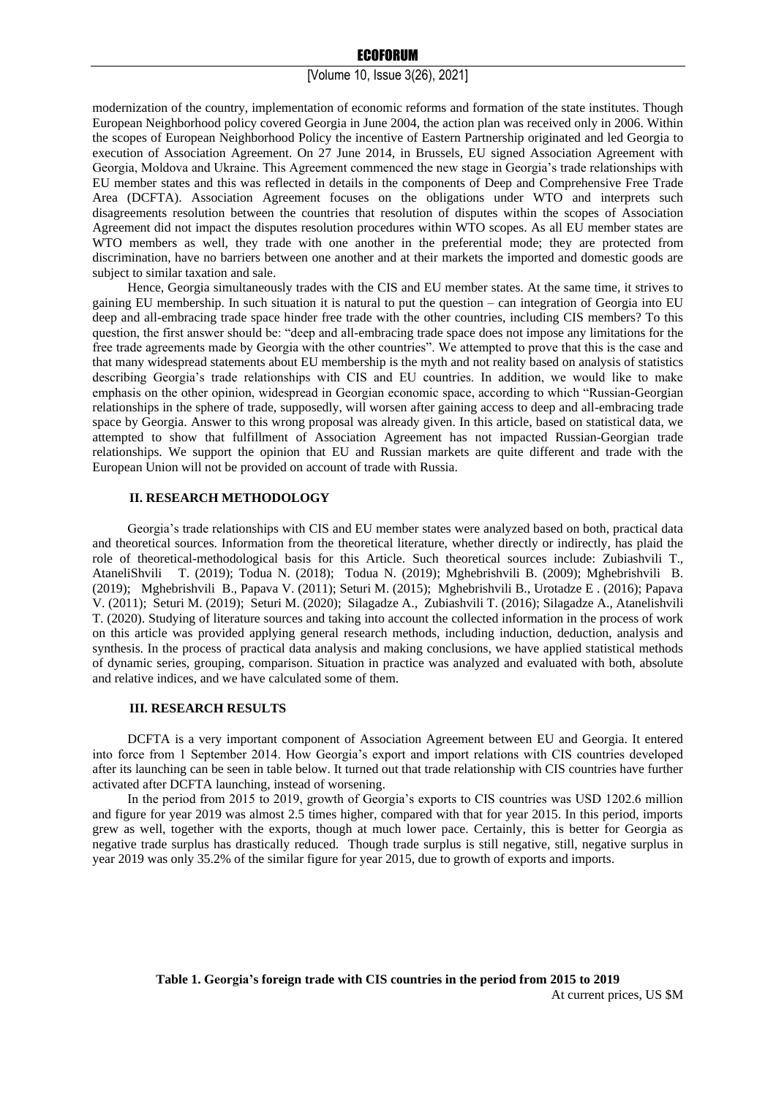### [Volume 10, Issue 3(26), 2021]

modernization of the country, implementation of economic reforms and formation of the state institutes. Though European Neighborhood policy covered Georgia in June 2004, the action plan was received only in 2006. Within the scopes of European Neighborhood Policy the incentive of Eastern Partnership originated and led Georgia to execution of Association Agreement. On 27 June 2014, in Brussels, EU signed Association Agreement with Georgia, Moldova and Ukraine. This Agreement commenced the new stage in Georgia's trade relationships with EU member states and this was reflected in details in the components of Deep and Comprehensive Free Trade Area (DCFTA). Association Agreement focuses on the obligations under WTO and interprets such disagreements resolution between the countries that resolution of disputes within the scopes of Association Agreement did not impact the disputes resolution procedures within WTO scopes. As all EU member states are WTO members as well, they trade with one another in the preferential mode; they are protected from discrimination, have no barriers between one another and at their markets the imported and domestic goods are subject to similar taxation and sale.

Hence, Georgia simultaneously trades with the CIS and EU member states. At the same time, it strives to gaining EU membership. In such situation it is natural to put the question – can integration of Georgia into EU deep and all-embracing trade space hinder free trade with the other countries, including CIS members? To this question, the first answer should be: "deep and all-embracing trade space does not impose any limitations for the free trade agreements made by Georgia with the other countries". We attempted to prove that this is the case and that many widespread statements about EU membership is the myth and not reality based on analysis of statistics describing Georgia's trade relationships with CIS and EU countries. In addition, we would like to make emphasis on the other opinion, widespread in Georgian economic space, according to which "Russian-Georgian relationships in the sphere of trade, supposedly, will worsen after gaining access to deep and all-embracing trade space by Georgia. Answer to this wrong proposal was already given. In this article, based on statistical data, we attempted to show that fulfillment of Association Agreement has not impacted Russian-Georgian trade relationships. We support the opinion that EU and Russian markets are quite different and trade with the European Union will not be provided on account of trade with Russia.

#### **II. RESEARCH METHODOLOGY**

Georgia's trade relationships with CIS and EU member states were analyzed based on both, practical data and theoretical sources. Information from the theoretical literature, whether directly or indirectly, has plaid the role of theoretical-methodological basis for this Article. Such theoretical sources include: Zubiashvili T., AtaneliShvili T. (2019); Todua N. (2018); Todua N. (2019); Mghebrishvili B. (2009); Mghebrishvili B. (2019); Mghebrishvili B., Papava V. (2011); Seturi M. (2015); Mghebrishvili B., Urotadze E . (2016); Papava V. (2011); Seturi M. (2019); Seturi M. (2020); Silagadze A., Zubiashvili T. (2016); Silagadze A., Atanelishvili T. (2020). Studying of literature sources and taking into account the collected information in the process of work on this article was provided applying general research methods, including induction, deduction, analysis and synthesis. In the process of practical data analysis and making conclusions, we have applied statistical methods of dynamic series, grouping, comparison. Situation in practice was analyzed and evaluated with both, absolute and relative indices, and we have calculated some of them.

### **III. RESEARCH RESULTS**

DCFTA is a very important component of Association Agreement between EU and Georgia. It entered into force from 1 September 2014. How Georgia's export and import relations with CIS countries developed after its launching can be seen in table below. It turned out that trade relationship with CIS countries have further activated after DCFTA launching, instead of worsening.

In the period from 2015 to 2019, growth of Georgia's exports to CIS countries was USD 1202.6 million and figure for year 2019 was almost 2.5 times higher, compared with that for year 2015. In this period, imports grew as well, together with the exports, though at much lower pace. Certainly, this is better for Georgia as negative trade surplus has drastically reduced. Though trade surplus is still negative, still, negative surplus in year 2019 was only 35.2% of the similar figure for year 2015, due to growth of exports and imports.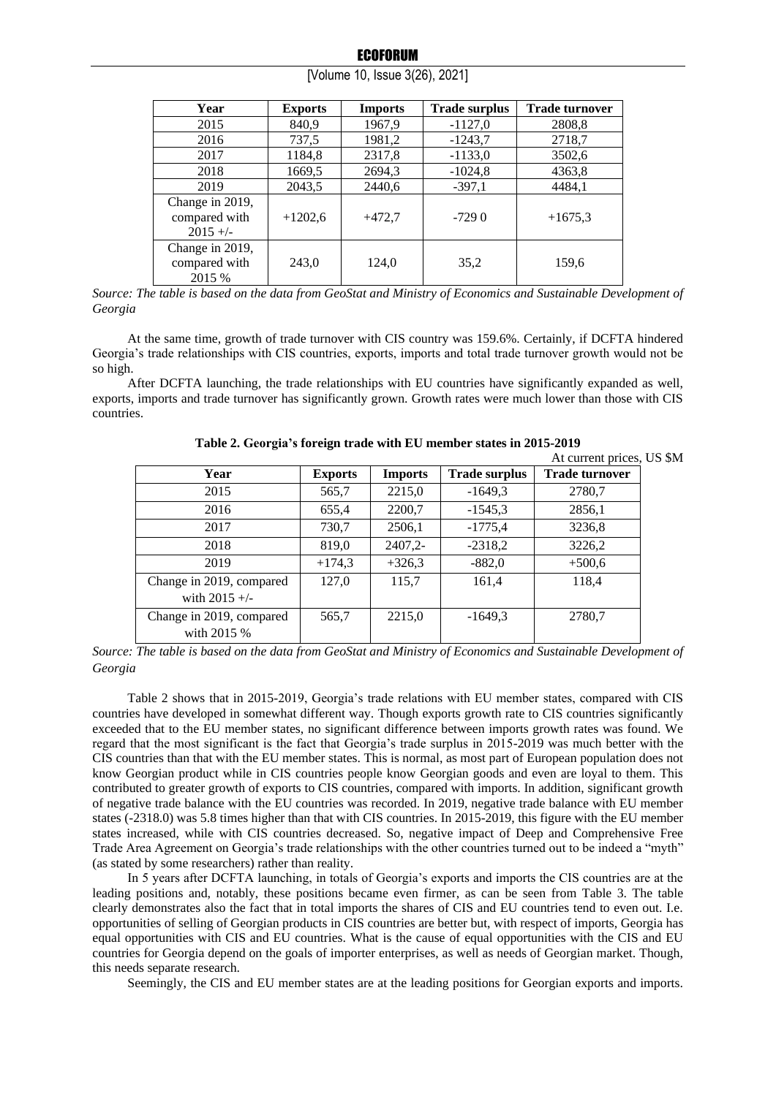### **ECOFORUM**

| Year                                           | <b>Exports</b> | <b>Imports</b> | <b>Trade surplus</b> | <b>Trade turnover</b> |
|------------------------------------------------|----------------|----------------|----------------------|-----------------------|
| 2015                                           | 840,9          | 1967,9         | $-1127,0$            | 2808,8                |
| 2016                                           | 737,5          | 1981,2         | $-1243,7$            | 2718,7                |
| 2017                                           | 1184,8         | 2317,8         | $-1133,0$            | 3502,6                |
| 2018                                           | 1669,5         | 2694,3         | $-1024,8$            | 4363,8                |
| 2019                                           | 2043,5         | 2440,6         | $-397.1$             | 4484,1                |
| Change in 2019,<br>compared with<br>$2015 +/-$ | $+1202,6$      | $+472.7$       | $-7290$              | $+1675.3$             |
| Change in 2019,<br>compared with<br>2015 %     | 243,0          | 124,0          | 35,2                 | 159,6                 |

[Volume 10, Issue 3(26), 2021]

*Source: The table is based on the data from GeoStat and Ministry of Economics and Sustainable Development of Georgia*

At the same time, growth of trade turnover with CIS country was 159.6%. Certainly, if DCFTA hindered Georgia's trade relationships with CIS countries, exports, imports and total trade turnover growth would not be so high.

After DCFTA launching, the trade relationships with EU countries have significantly expanded as well, exports, imports and trade turnover has significantly grown. Growth rates were much lower than those with CIS countries.

| $\overline{\phantom{a}}$ |                |                |                      |                           |  |
|--------------------------|----------------|----------------|----------------------|---------------------------|--|
|                          |                |                |                      | At current prices, US \$M |  |
| Year                     | <b>Exports</b> | <b>Imports</b> | <b>Trade surplus</b> | <b>Trade turnover</b>     |  |
| 2015                     | 565,7          | 2215,0         | $-1649,3$            | 2780,7                    |  |
| 2016                     | 655,4          | 2200,7         | $-1545.3$            | 2856,1                    |  |
| 2017                     | 730,7          | 2506,1         | $-1775,4$            | 3236,8                    |  |
| 2018                     | 819,0          | 2407,2-        | $-2318,2$            | 3226,2                    |  |
| 2019                     | $+174,3$       | $+326,3$       | $-882.0$             | $+500,6$                  |  |
| Change in 2019, compared | 127,0          | 115,7          | 161,4                | 118,4                     |  |
| with $2015 +/-$          |                |                |                      |                           |  |
| Change in 2019, compared | 565,7          | 2215,0         | $-1649,3$            | 2780,7                    |  |
| with 2015 %              |                |                |                      |                           |  |

**Table 2. Georgia's foreign trade with EU member states in 2015-2019**

*Source: The table is based on the data from GeoStat and Ministry of Economics and Sustainable Development of Georgia*

Table 2 shows that in 2015-2019, Georgia's trade relations with EU member states, compared with CIS countries have developed in somewhat different way. Though exports growth rate to CIS countries significantly exceeded that to the EU member states, no significant difference between imports growth rates was found. We regard that the most significant is the fact that Georgia's trade surplus in 2015-2019 was much better with the CIS countries than that with the EU member states. This is normal, as most part of European population does not know Georgian product while in CIS countries people know Georgian goods and even are loyal to them. This contributed to greater growth of exports to CIS countries, compared with imports. In addition, significant growth of negative trade balance with the EU countries was recorded. In 2019, negative trade balance with EU member states (-2318.0) was 5.8 times higher than that with CIS countries. In 2015-2019, this figure with the EU member states increased, while with CIS countries decreased. So, negative impact of Deep and Comprehensive Free Trade Area Agreement on Georgia's trade relationships with the other countries turned out to be indeed a "myth" (as stated by some researchers) rather than reality.

In 5 years after DCFTA launching, in totals of Georgia's exports and imports the CIS countries are at the leading positions and, notably, these positions became even firmer, as can be seen from Table 3. The table clearly demonstrates also the fact that in total imports the shares of CIS and EU countries tend to even out. I.e. opportunities of selling of Georgian products in CIS countries are better but, with respect of imports, Georgia has equal opportunities with CIS and EU countries. What is the cause of equal opportunities with the CIS and EU countries for Georgia depend on the goals of importer enterprises, as well as needs of Georgian market. Though, this needs separate research.

Seemingly, the CIS and EU member states are at the leading positions for Georgian exports and imports.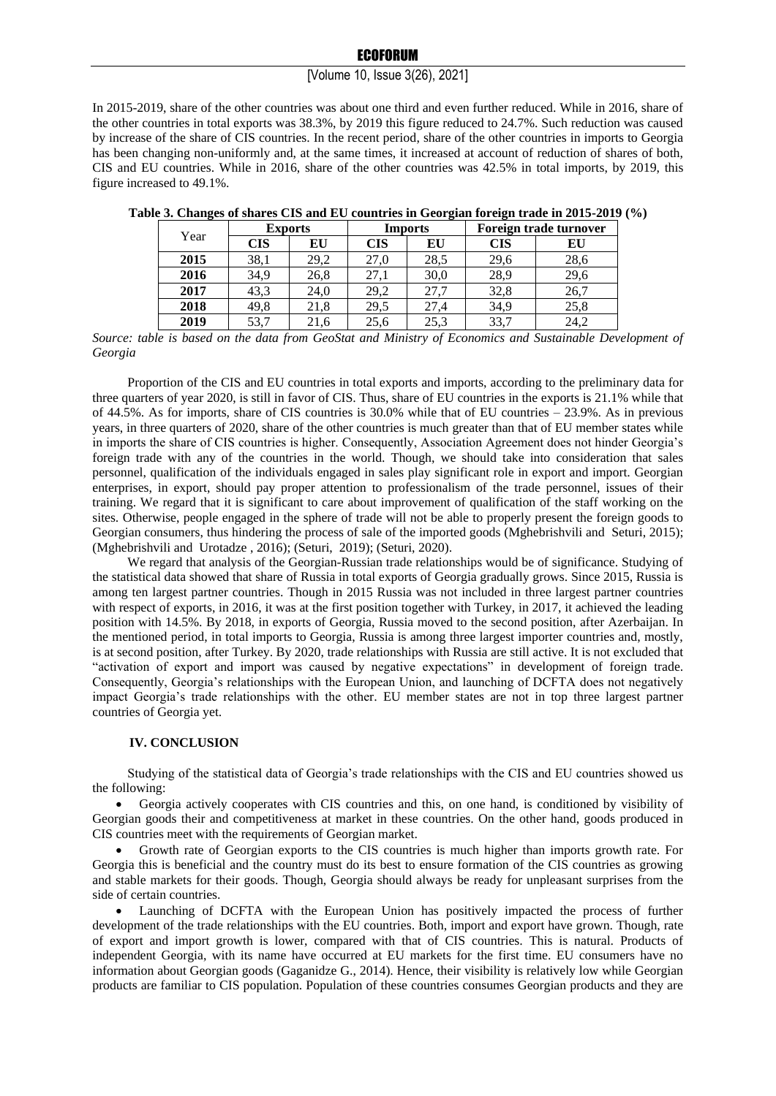## **ECOFORUM**

## [Volume 10, Issue 3(26), 2021]

In 2015-2019, share of the other countries was about one third and even further reduced. While in 2016, share of the other countries in total exports was 38.3%, by 2019 this figure reduced to 24.7%. Such reduction was caused by increase of the share of CIS countries. In the recent period, share of the other countries in imports to Georgia has been changing non-uniformly and, at the same times, it increased at account of reduction of shares of both, CIS and EU countries. While in 2016, share of the other countries was 42.5% in total imports, by 2019, this figure increased to 49.1%.

| Year | <b>Exports</b> |      | <b>Imports</b> |      | Foreign trade turnover |      |
|------|----------------|------|----------------|------|------------------------|------|
|      | <b>CIS</b>     | EU   | CIS            | EU   | CIS                    | ЕU   |
| 2015 | 38,1           | 29.2 | 27,0           | 28,5 | 29,6                   | 28,6 |
| 2016 | 34,9           | 26,8 | 27,1           | 30,0 | 28,9                   | 29,6 |
| 2017 | 43,3           | 24,0 | 29,2           | 27.7 | 32,8                   | 26,7 |
| 2018 | 49,8           | 21,8 | 29,5           | 27.4 | 34,9                   | 25,8 |
| 2019 | 53,7           | 21,6 | 25,6           | 25,3 | 33,7                   | 24,2 |

| Table 3. Changes of shares CIS and EU countries in Georgian foreign trade in 2015-2019 (%) |  |  |
|--------------------------------------------------------------------------------------------|--|--|
|                                                                                            |  |  |

*Source: table is based on the data from GeoStat and Ministry of Economics and Sustainable Development of Georgia*

Proportion of the CIS and EU countries in total exports and imports, according to the preliminary data for three quarters of year 2020, is still in favor of CIS. Thus, share of EU countries in the exports is 21.1% while that of 44.5%. As for imports, share of CIS countries is 30.0% while that of EU countries – 23.9%. As in previous years, in three quarters of 2020, share of the other countries is much greater than that of EU member states while in imports the share of CIS countries is higher. Consequently, Association Agreement does not hinder Georgia's foreign trade with any of the countries in the world. Though, we should take into consideration that sales personnel, qualification of the individuals engaged in sales play significant role in export and import. Georgian enterprises, in export, should pay proper attention to professionalism of the trade personnel, issues of their training. We regard that it is significant to care about improvement of qualification of the staff working on the sites. Otherwise, people engaged in the sphere of trade will not be able to properly present the foreign goods to Georgian consumers, thus hindering the process of sale of the imported goods (Mghebrishvili and Seturi, 2015); (Mghebrishvili and Urotadze , 2016); (Seturi, 2019); (Seturi, 2020).

We regard that analysis of the Georgian-Russian trade relationships would be of significance. Studying of the statistical data showed that share of Russia in total exports of Georgia gradually grows. Since 2015, Russia is among ten largest partner countries. Though in 2015 Russia was not included in three largest partner countries with respect of exports, in 2016, it was at the first position together with Turkey, in 2017, it achieved the leading position with 14.5%. By 2018, in exports of Georgia, Russia moved to the second position, after Azerbaijan. In the mentioned period, in total imports to Georgia, Russia is among three largest importer countries and, mostly, is at second position, after Turkey. By 2020, trade relationships with Russia are still active. It is not excluded that "activation of export and import was caused by negative expectations" in development of foreign trade. Consequently, Georgia's relationships with the European Union, and launching of DCFTA does not negatively impact Georgia's trade relationships with the other. EU member states are not in top three largest partner countries of Georgia yet.

### **IV. CONCLUSION**

Studying of the statistical data of Georgia's trade relationships with the CIS and EU countries showed us the following:

• Georgia actively cooperates with CIS countries and this, on one hand, is conditioned by visibility of Georgian goods their and competitiveness at market in these countries. On the other hand, goods produced in CIS countries meet with the requirements of Georgian market.

• Growth rate of Georgian exports to the CIS countries is much higher than imports growth rate. For Georgia this is beneficial and the country must do its best to ensure formation of the CIS countries as growing and stable markets for their goods. Though, Georgia should always be ready for unpleasant surprises from the side of certain countries.

• Launching of DCFTA with the European Union has positively impacted the process of further development of the trade relationships with the EU countries. Both, import and export have grown. Though, rate of export and import growth is lower, compared with that of CIS countries. This is natural. Products of independent Georgia, with its name have occurred at EU markets for the first time. EU consumers have no information about Georgian goods (Gaganidze G., 2014). Hence, their visibility is relatively low while Georgian products are familiar to CIS population. Population of these countries consumes Georgian products and they are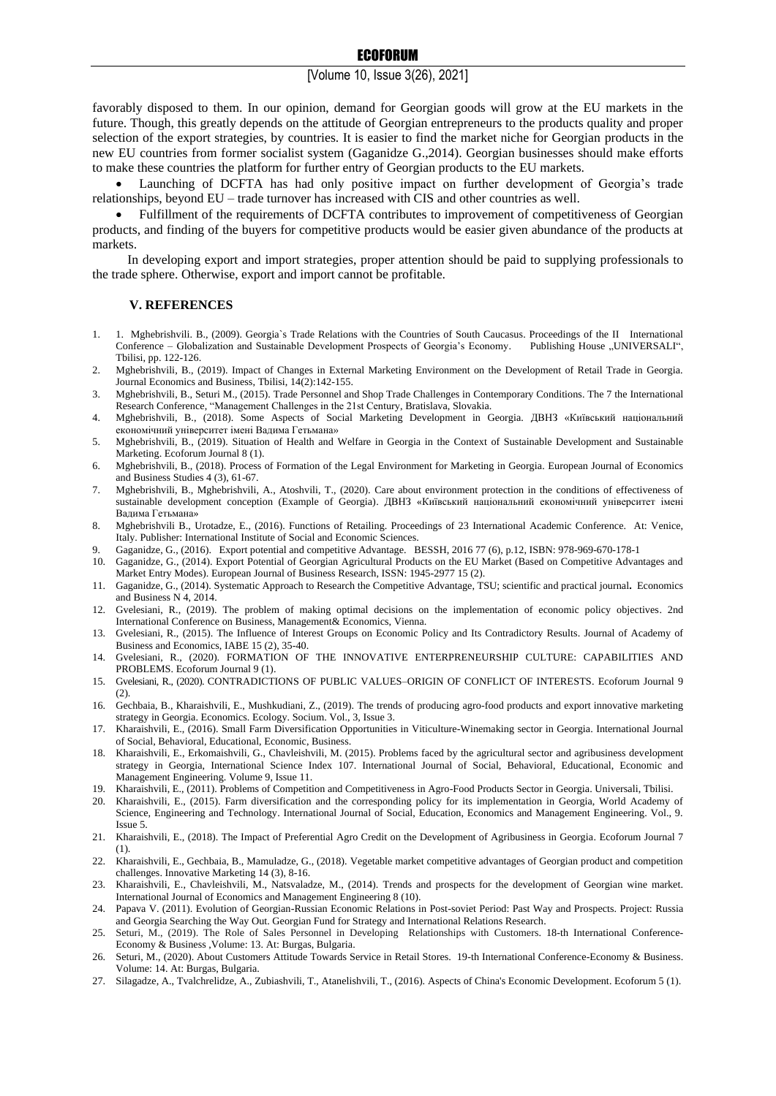### [Volume 10, Issue 3(26), 2021]

favorably disposed to them. In our opinion, demand for Georgian goods will grow at the EU markets in the future. Though, this greatly depends on the attitude of Georgian entrepreneurs to the products quality and proper selection of the export strategies, by countries. It is easier to find the market niche for Georgian products in the new EU countries from former socialist system (Gaganidze G.,2014). Georgian businesses should make efforts to make these countries the platform for further entry of Georgian products to the EU markets.

Launching of DCFTA has had only positive impact on further development of Georgia's trade relationships, beyond EU – trade turnover has increased with CIS and other countries as well.

• Fulfillment of the requirements of DCFTA contributes to improvement of competitiveness of Georgian products, and finding of the buyers for competitive products would be easier given abundance of the products at markets.

In developing export and import strategies, proper attention should be paid to supplying professionals to the trade sphere. Otherwise, export and import cannot be profitable.

#### **V. REFERENCES**

- 1. 1. Mghebrishvili. B., (2009). Georgia`s Trade Relations with the Countries of South Caucasus. Proceedings of the II International Conference - Globalization and Sustainable Development Prospects of Georgia's Economy. Publishing House "UNIVERSALI", Tbilisi, pp. 122-126.
- 2. Mghebrishvili, B., (2019). Impact of Changes in External Marketing Environment on the Development of Retail Trade in Georgia. Journal Economics and Business, Tbilisi, 14(2):142-155.
- 3. Mghebrishvili, B., Seturi M., (2015). [Trade Personnel and Shop Trade Challenges in Contemporary Conditions.](https://www.researchgate.net/publication/308994957_Trade_Personnel_and_Shop_Trade_Challenges_in_Contemporary_Conditions?_sg=G47yfkZJ8FLe4XOyiKh_N2k3Sclsx5dYyBTmtE88c6umpkJlfZAuNPAQnBzrwvaA_N5ciWYBp1c3EINsfgFG73-Ux1DS5q_JdIkzZbvC.yHoFrPcQqhFKqdXtgl9Wfw2W0QEc3jJVR4UvoQf8o2wrj6IerX6w_D_jNOjnX5GSsvTrnN0oiMe0KROBOQd9Ow) The 7 the International Research Conference, "Management Challenges in the 21st Century, Bratislava, Slovakia.
- 4. Mghebrishvili, B., (2018). Some Aspects of Social Marketing Development in Georgia. ДВНЗ «Київський національний економічний університет імені Вадима Гетьмана»
- 5. Mghebrishvili, B., (2019). [Situation of Health and Welfare in Georgia in the Context of Sustainable Development and Sustainable](javascript:void(0))  [Marketing.](javascript:void(0)) Ecoforum Journal 8 (1).
- 6. Mghebrishvili, B., (2018). [Process of Formation of the Legal Environment for Marketing in Georgia.](javascript:void(0)) European Journal of Economics and Business Studies 4 (3), 61-67.
- 7. Mghebrishvili, B., Mghebrishvili, A., Atoshvili, T., (2020). [Care about environment protection in the conditions of effectiveness of](javascript:void(0))  [sustainable development conception \(Example of Georgia\).](javascript:void(0)) ДВНЗ «Київський національний економічний університет імені Вадима Гетьмана»
- 8. Mghebrishvili B., Urotadze, E., (2016). Functions of Retailing. Proceedings of 23 International Academic Conference. At: Venice, Italy. Publisher: International Institute of Social and Economic Sciences.
- 9. Gaganidze, G., (2016). [Export potential and competitive Advantage.](javascript:void(0)) BESSH, 2016 77 (6), p.12, ISBN: 978-969-670-178-1
- 10. Gaganidze, G., (2014)[. Export Potential of Georgian Agricultural Products on the EU Market \(Based on Competitive Advantages and](javascript:void(0))  [Market Entry Modes\).](javascript:void(0)) European Journal of Business Research, ISSN: 1945-2977 15 (2).
- 11. Gaganidze, G., (2014). [Systematic Approach to Research the Competitive Advantage, TSU; scientific and practical journal](javascript:void(0))**.** Economics and Business N 4, 2014.
- 12. Gvelesiani, R., (2019). [The problem of making optimal decisions on the implementation of economic policy objectives.](http://scholar.google.com/scholar_url?url=https%3A%2F%2Fwww.dpublication.com%2Fwp-content%2Fuploads%2F2019%2F06%2F61-971-ICBME22.pdf&hl=en&sa=T&ei=YPV9YKHRKdrSsQKUwprwBg&scisig=AAGBfm021CJp47jBX1dR92Hd8lAwQo_QBw&nossl=1&ws=1536x725&at=) 2nd International Conference on Business, Management& Economics, Vienna.
- 13. Gvelesiani, R., (2015). [The Influence of Interest Groups on Economic Policy and Its Contradictory Results.](javascript:void(0)) Journal of Academy of Business and Economics, IABE 15 (2), 35-40.
- 14. Gvelesiani, R., (2020). [FORMATION OF THE INNOVATIVE ENTERPRENEURSHIP CULTURE: CAPABILITIES AND](javascript:void(0))  [PROBLEMS.](javascript:void(0)) Ecoforum Journal 9 (1).
- 15. Gvelesiani, R., (2020)[. CONTRADICTIONS OF PUBLIC VALUES–ORIGIN OF CONFLICT OF INTERESTS.](javascript:void(0)) Ecoforum Journal 9 (2).
- 16. Gechbaia, B., Kharaishvili, E., Mushkudiani, Z., (2019). [The trends of producing agro-food products and export innovative marketing](http://scholar.google.com/scholar_url?url=http%3A%2F%2Fwww.ees-journal.com%2Findex.php%2Fjournal%2Farticle%2Fview%2F107&hl=en&sa=T&ei=zD1_YMK6FtrSsQKUwprwBg&scisig=AAGBfm1Z1Il4hXbDaIFWS3YutFdvHQXa3g&nossl=1&ws=1536x756&at=)  [strategy in Georgia.](http://scholar.google.com/scholar_url?url=http%3A%2F%2Fwww.ees-journal.com%2Findex.php%2Fjournal%2Farticle%2Fview%2F107&hl=en&sa=T&ei=zD1_YMK6FtrSsQKUwprwBg&scisig=AAGBfm1Z1Il4hXbDaIFWS3YutFdvHQXa3g&nossl=1&ws=1536x756&at=) Economics. Ecology. Socium. Vol., 3, Issue 3.
- 17. Kharaishvili, E., (2016). [Small Farm Diversification Opportunities in Viticulture-Winemaking sector in Georgia.](javascript:void(0)) International Journal of Social, Behavioral, Educational, Economic, Business.
- 18. Kharaishvili, E., Erkomaishvili, G., Chavleishvili, M. (2015). Problems faced by the agricultural sector and agribusiness development strategy in Georgia, International Science Index 107. International Journal of Social, Behavioral, Educational, Economic and Management Engineering. Volume 9, Issue 11.
- 19. Kharaishvili, E., (2011)[. Problems of Competition and Competitiveness in Agro-Food Products Sector in Georgia.](javascript:void(0)) Universali, Tbilisi.
- 20. Kharaishvili, E., (2015). [Farm diversification and the corresponding policy for its implementation in Georgia, World Academy of](javascript:void(0))  Science, [Engineering and Technology.](javascript:void(0)) International Journal of Social, Education, Economics and Management Engineering. Vol., 9. Issue 5.
- 21. Kharaishvili, E., (2018). [The Impact of Preferential Agro Credit on the Development of Agribusiness in Georgia.](javascript:void(0)) Ecoforum Journal 7 (1).
- 22. Kharaishvili, E., Gechbaia, B., Mamuladze, G., (2018)[. Vegetable market competitive advantages of Georgian product and competition](http://scholar.google.com/scholar_url?url=http%3A%2F%2Feprints.tsu.ge%2Fid%2Feprint%2F1594&hl=en&sa=T&ei=cE-AYNLqHqTLsQLIx4PACg&scisig=AAGBfm1_8p2Q_eV-Fh29mTf_BMukvqjp_A&nossl=1&ws=1536x756&at=)  [challenges.](http://scholar.google.com/scholar_url?url=http%3A%2F%2Feprints.tsu.ge%2Fid%2Feprint%2F1594&hl=en&sa=T&ei=cE-AYNLqHqTLsQLIx4PACg&scisig=AAGBfm1_8p2Q_eV-Fh29mTf_BMukvqjp_A&nossl=1&ws=1536x756&at=) Innovative Marketing 14 (3), 8-16.
- 23. Kharaishvili, E., Chavleishvili, M., Natsvaladze, M., (2014). [Trends and prospects for the development of Georgian wine market.](javascript:void(0))  International Journal of Economics and Management Engineering 8 (10).
- 24. Papava V. (2011). Evolution of Georgian-Russian Economic Relations in Post-soviet Period: Past Way and Prospects. Project: Russia and Georgia Searching the Way Out. Georgian Fund for Strategy and International Relations Research.
- 25. Seturi, M., (2019). The Role of Sales Personnel in Developing Relationships with Customers. 18-th International Conference-Economy & Business ,Volume: 13. At: Burgas, Bulgaria.
- 26. Seturi, M., (2020). About Customers Attitude Towards Service in Retail Stores. 19-th International Conference-Economy & Business. Volume: 14. At: Burgas, Bulgaria.
- 27. Silagadze, A., Tvalchrelidze, A., Zubiashvili, T., Atanelishvili, T., (2016)[. Aspects of China's Economic Development.](javascript:void(0)) Ecoforum 5 (1).